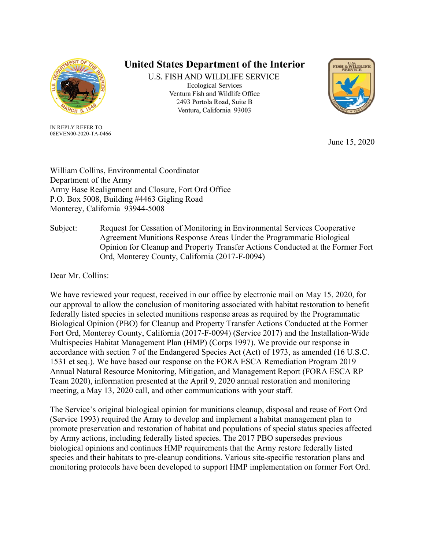

IN REPLY REFER TO: 08EVEN00-2020-TA-0466

## United States Department of the Interior

U.S. FISH AND WILDLIFE SERVICE **Ecological Services** Ventura Fish and Wildlife Office 2493 Portola Road, Suite B Ventura, California 93003



June 15, 2020

William Collins, Environmental Coordinator Department of the Army Army Base Realignment and Closure, Fort Ord Office P.O. Box 5008, Building #4463 Gigling Road Monterey, California 93944-5008

Subject: Request for Cessation of Monitoring in Environmental Services Cooperative Agreement Munitions Response Areas Under the Programmatic Biological Opinion for Cleanup and Property Transfer Actions Conducted at the Former Fort Ord, Monterey County, California (2017-F-0094)

Dear Mr. Collins:

We have reviewed your request, received in our office by electronic mail on May 15, 2020, for our approval to allow the conclusion of monitoring associated with habitat restoration to benefit federally listed species in selected munitions response areas as required by the Programmatic Biological Opinion (PBO) for Cleanup and Property Transfer Actions Conducted at the Former Fort Ord, Monterey County, California (2017-F-0094) (Service 2017) and the Installation-Wide Multispecies Habitat Management Plan (HMP) (Corps 1997). We provide our response in accordance with section 7 of the Endangered Species Act (Act) of 1973, as amended (16 U.S.C. 1531 et seq.). We have based our response on the FORA ESCA Remediation Program 2019 Annual Natural Resource Monitoring, Mitigation, and Management Report (FORA ESCA RP Team 2020), information presented at the April 9, 2020 annual restoration and monitoring meeting, a May 13, 2020 call, and other communications with your staff.

The Service's original biological opinion for munitions cleanup, disposal and reuse of Fort Ord (Service 1993) required the Army to develop and implement a habitat management plan to promote preservation and restoration of habitat and populations of special status species affected by Army actions, including federally listed species. The 2017 PBO supersedes previous biological opinions and continues HMP requirements that the Army restore federally listed species and their habitats to pre-cleanup conditions. Various site-specific restoration plans and monitoring protocols have been developed to support HMP implementation on former Fort Ord.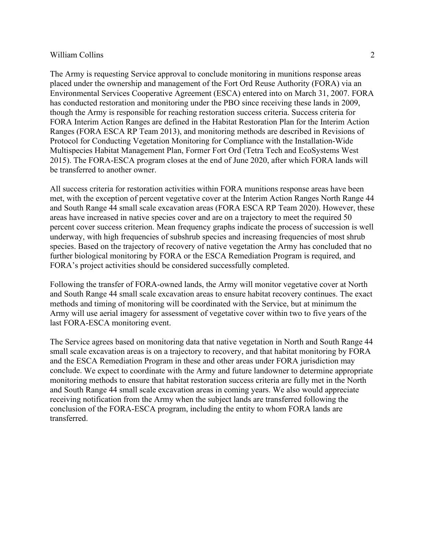## William Collins 2

The Army is requesting Service approval to conclude monitoring in munitions response areas placed under the ownership and management of the Fort Ord Reuse Authority (FORA) via an Environmental Services Cooperative Agreement (ESCA) entered into on March 31, 2007. FORA has conducted restoration and monitoring under the PBO since receiving these lands in 2009, though the Army is responsible for reaching restoration success criteria. Success criteria for FORA Interim Action Ranges are defined in the Habitat Restoration Plan for the Interim Action Ranges (FORA ESCA RP Team 2013), and monitoring methods are described in Revisions of Protocol for Conducting Vegetation Monitoring for Compliance with the Installation-Wide Multispecies Habitat Management Plan, Former Fort Ord (Tetra Tech and EcoSystems West 2015). The FORA-ESCA program closes at the end of June 2020, after which FORA lands will be transferred to another owner.

All success criteria for restoration activities within FORA munitions response areas have been met, with the exception of percent vegetative cover at the Interim Action Ranges North Range 44 and South Range 44 small scale excavation areas (FORA ESCA RP Team 2020). However, these areas have increased in native species cover and are on a trajectory to meet the required 50 percent cover success criterion. Mean frequency graphs indicate the process of succession is well underway, with high frequencies of subshrub species and increasing frequencies of most shrub species. Based on the trajectory of recovery of native vegetation the Army has concluded that no further biological monitoring by FORA or the ESCA Remediation Program is required, and FORA's project activities should be considered successfully completed.

Following the transfer of FORA-owned lands, the Army will monitor vegetative cover at North and South Range 44 small scale excavation areas to ensure habitat recovery continues. The exact methods and timing of monitoring will be coordinated with the Service, but at minimum the Army will use aerial imagery for assessment of vegetative cover within two to five years of the last FORA-ESCA monitoring event.

The Service agrees based on monitoring data that native vegetation in North and South Range 44 small scale excavation areas is on a trajectory to recovery, and that habitat monitoring by FORA and the ESCA Remediation Program in these and other areas under FORA jurisdiction may conclude. We expect to coordinate with the Army and future landowner to determine appropriate monitoring methods to ensure that habitat restoration success criteria are fully met in the North and South Range 44 small scale excavation areas in coming years. We also would appreciate receiving notification from the Army when the subject lands are transferred following the conclusion of the FORA-ESCA program, including the entity to whom FORA lands are transferred.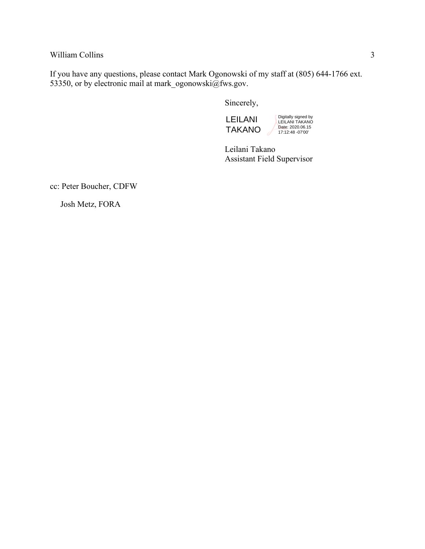William Collins 3

If you have any questions, please contact Mark Ogonowski of my staff at (805) 644-1766 ext. 53350, or by electronic mail at mark\_ogonowski@fws.gov.

Sincerely,

LEILANI TAKANO Digitally signed by LEILANI TAKANO Date: 2020.06.15 17:12:48 -07'00'

Leilani Takano Assistant Field Supervisor

cc: Peter Boucher, CDFW

Josh Metz, FORA